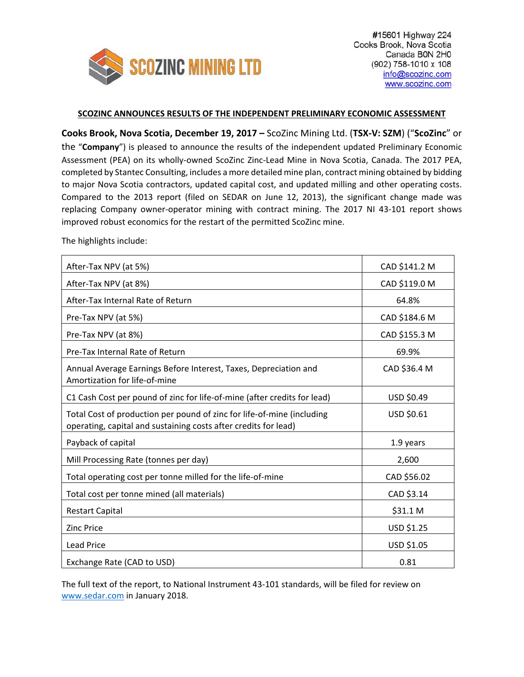

# **SCOZINC ANNOUNCES RESULTS OF THE INDEPENDENT PRELIMINARY ECONOMIC ASSESSMENT**

**Cooks Brook, Nova Scotia, December 19, 2017 –** ScoZinc Mining Ltd. (**TSX‐V: SZM**) ("**ScoZinc**" or the "**Company**") is pleased to announce the results of the independent updated Preliminary Economic Assessment (PEA) on its wholly‐owned ScoZinc Zinc‐Lead Mine in Nova Scotia, Canada. The 2017 PEA, completed by Stantec Consulting, includes a more detailed mine plan, contract mining obtained by bidding to major Nova Scotia contractors, updated capital cost, and updated milling and other operating costs. Compared to the 2013 report (filed on SEDAR on June 12, 2013), the significant change made was replacing Company owner-operator mining with contract mining. The 2017 NI 43-101 report shows improved robust economics for the restart of the permitted ScoZinc mine.

The highlights include:

| After-Tax NPV (at 5%)                                                                                                                     | CAD \$141.2 M |
|-------------------------------------------------------------------------------------------------------------------------------------------|---------------|
| After-Tax NPV (at 8%)                                                                                                                     | CAD \$119.0 M |
| After-Tax Internal Rate of Return                                                                                                         | 64.8%         |
| Pre-Tax NPV (at 5%)                                                                                                                       | CAD \$184.6 M |
| Pre-Tax NPV (at 8%)                                                                                                                       | CAD \$155.3 M |
| Pre-Tax Internal Rate of Return                                                                                                           | 69.9%         |
| Annual Average Earnings Before Interest, Taxes, Depreciation and<br>Amortization for life-of-mine                                         | CAD \$36.4 M  |
| C1 Cash Cost per pound of zinc for life-of-mine (after credits for lead)                                                                  | USD \$0.49    |
| Total Cost of production per pound of zinc for life-of-mine (including<br>operating, capital and sustaining costs after credits for lead) | USD \$0.61    |
| Payback of capital                                                                                                                        | 1.9 years     |
| Mill Processing Rate (tonnes per day)                                                                                                     | 2,600         |
| Total operating cost per tonne milled for the life-of-mine                                                                                | CAD \$56.02   |
| Total cost per tonne mined (all materials)                                                                                                | CAD \$3.14    |
| <b>Restart Capital</b>                                                                                                                    | \$31.1 M      |
| <b>Zinc Price</b>                                                                                                                         | USD \$1.25    |
| <b>Lead Price</b>                                                                                                                         | USD \$1.05    |
| Exchange Rate (CAD to USD)                                                                                                                | 0.81          |

The full text of the report, to National Instrument 43-101 standards, will be filed for review on www.sedar.com in January 2018.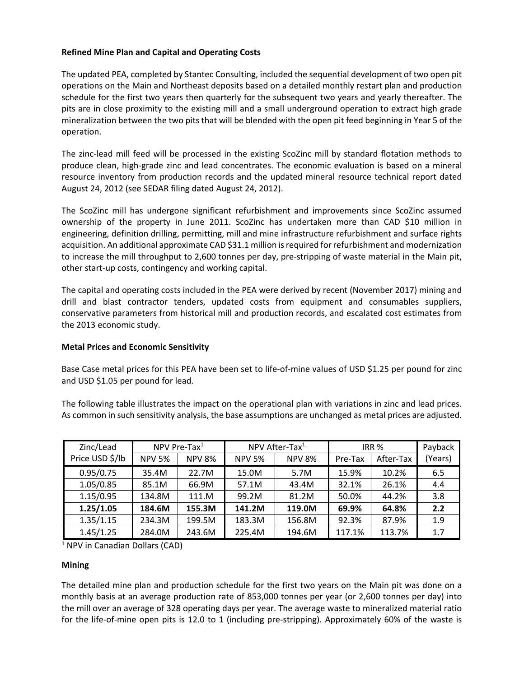# **Refined Mine Plan and Capital and Operating Costs**

The updated PEA, completed by Stantec Consulting, included the sequential development of two open pit operations on the Main and Northeast deposits based on a detailed monthly restart plan and production schedule for the first two years then quarterly for the subsequent two years and yearly thereafter. The pits are in close proximity to the existing mill and a small underground operation to extract high grade mineralization between the two pits that will be blended with the open pit feed beginning in Year 5 of the operation.

The zinc‐lead mill feed will be processed in the existing ScoZinc mill by standard flotation methods to produce clean, high‐grade zinc and lead concentrates. The economic evaluation is based on a mineral resource inventory from production records and the updated mineral resource technical report dated August 24, 2012 (see SEDAR filing dated August 24, 2012).

The ScoZinc mill has undergone significant refurbishment and improvements since ScoZinc assumed ownership of the property in June 2011. ScoZinc has undertaken more than CAD \$10 million in engineering, definition drilling, permitting, mill and mine infrastructure refurbishment and surface rights acquisition. An additional approximate CAD \$31.1 million isrequired for refurbishment and modernization to increase the mill throughput to 2,600 tonnes per day, pre‐stripping of waste material in the Main pit, other start‐up costs, contingency and working capital.

The capital and operating costs included in the PEA were derived by recent (November 2017) mining and drill and blast contractor tenders, updated costs from equipment and consumables suppliers, conservative parameters from historical mill and production records, and escalated cost estimates from the 2013 economic study.

#### **Metal Prices and Economic Sensitivity**

Base Case metal prices for this PEA have been set to life‐of‐mine values of USD \$1.25 per pound for zinc and USD \$1.05 per pound for lead.

The following table illustrates the impact on the operational plan with variations in zinc and lead prices. As common in such sensitivity analysis, the base assumptions are unchanged as metal prices are adjusted.

| Zinc/Lead       | NPV Pre-Tax $1$ |               | NPV After-Tax <sup>1</sup> |               | IRR <sub>%</sub> |           | Payback |
|-----------------|-----------------|---------------|----------------------------|---------------|------------------|-----------|---------|
| Price USD \$/lb | <b>NPV 5%</b>   | <b>NPV 8%</b> | <b>NPV 5%</b>              | <b>NPV 8%</b> | Pre-Tax          | After-Tax | (Years) |
| 0.95/0.75       | 35.4M           | 22.7M         | 15.0M                      | 5.7M          | 15.9%            | 10.2%     | 6.5     |
| 1.05/0.85       | 85.1M           | 66.9M         | 57.1M                      | 43.4M         | 32.1%            | 26.1%     | 4.4     |
| 1.15/0.95       | 134.8M          | 111.M         | 99.2M                      | 81.2M         | 50.0%            | 44.2%     | 3.8     |
| 1.25/1.05       | 184.6M          | 155.3M        | 141.2M                     | 119.0M        | 69.9%            | 64.8%     | 2.2     |
| 1.35/1.15       | 234.3M          | 199.5M        | 183.3M                     | 156.8M        | 92.3%            | 87.9%     | 1.9     |
| 1.45/1.25       | 284.0M          | 243.6M        | 225.4M                     | 194.6M        | 117.1%           | 113.7%    | 1.7     |

<sup>1</sup> NPV in Canadian Dollars (CAD)

#### **Mining**

The detailed mine plan and production schedule for the first two years on the Main pit was done on a monthly basis at an average production rate of 853,000 tonnes per year (or 2,600 tonnes per day) into the mill over an average of 328 operating days per year. The average waste to mineralized material ratio for the life-of-mine open pits is 12.0 to 1 (including pre-stripping). Approximately 60% of the waste is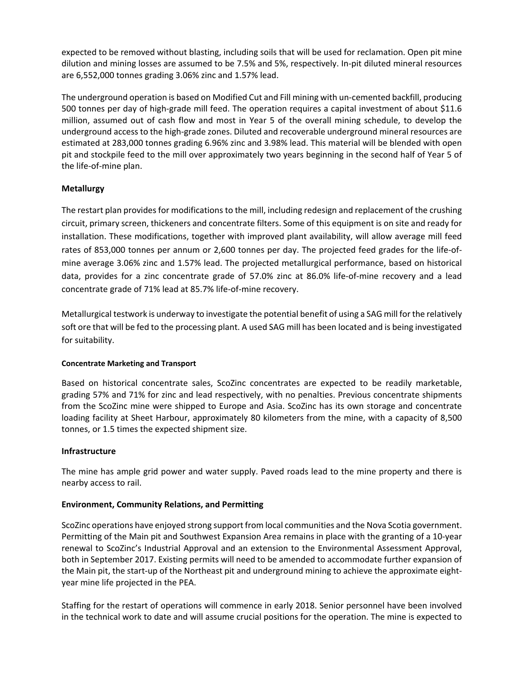expected to be removed without blasting, including soils that will be used for reclamation. Open pit mine dilution and mining losses are assumed to be 7.5% and 5%, respectively. In‐pit diluted mineral resources are 6,552,000 tonnes grading 3.06% zinc and 1.57% lead.

The underground operation is based on Modified Cut and Fill mining with un‐cemented backfill, producing 500 tonnes per day of high-grade mill feed. The operation requires a capital investment of about \$11.6 million, assumed out of cash flow and most in Year 5 of the overall mining schedule, to develop the underground access to the high‐grade zones. Diluted and recoverable underground mineral resources are estimated at 283,000 tonnes grading 6.96% zinc and 3.98% lead. This material will be blended with open pit and stockpile feed to the mill over approximately two years beginning in the second half of Year 5 of the life‐of‐mine plan.

### **Metallurgy**

The restart plan provides for modifications to the mill, including redesign and replacement of the crushing circuit, primary screen, thickeners and concentrate filters. Some of this equipment is on site and ready for installation. These modifications, together with improved plant availability, will allow average mill feed rates of 853,000 tonnes per annum or 2,600 tonnes per day. The projected feed grades for the life-ofmine average 3.06% zinc and 1.57% lead. The projected metallurgical performance, based on historical data, provides for a zinc concentrate grade of 57.0% zinc at 86.0% life‐of‐mine recovery and a lead concentrate grade of 71% lead at 85.7% life‐of‐mine recovery.

Metallurgical testwork is underway to investigate the potential benefit of using a SAG mill forthe relatively soft ore that will be fed to the processing plant. A used SAG mill has been located and is being investigated for suitability.

#### **Concentrate Marketing and Transport**

Based on historical concentrate sales, ScoZinc concentrates are expected to be readily marketable, grading 57% and 71% for zinc and lead respectively, with no penalties. Previous concentrate shipments from the ScoZinc mine were shipped to Europe and Asia. ScoZinc has its own storage and concentrate loading facility at Sheet Harbour, approximately 80 kilometers from the mine, with a capacity of 8,500 tonnes, or 1.5 times the expected shipment size.

#### **Infrastructure**

The mine has ample grid power and water supply. Paved roads lead to the mine property and there is nearby access to rail.

#### **Environment, Community Relations, and Permitting**

ScoZinc operations have enjoyed strong support from local communities and the Nova Scotia government. Permitting of the Main pit and Southwest Expansion Area remains in place with the granting of a 10‐year renewal to ScoZinc's Industrial Approval and an extension to the Environmental Assessment Approval, both in September 2017. Existing permits will need to be amended to accommodate further expansion of the Main pit, the start‐up of the Northeast pit and underground mining to achieve the approximate eight‐ year mine life projected in the PEA.

Staffing for the restart of operations will commence in early 2018. Senior personnel have been involved in the technical work to date and will assume crucial positions for the operation. The mine is expected to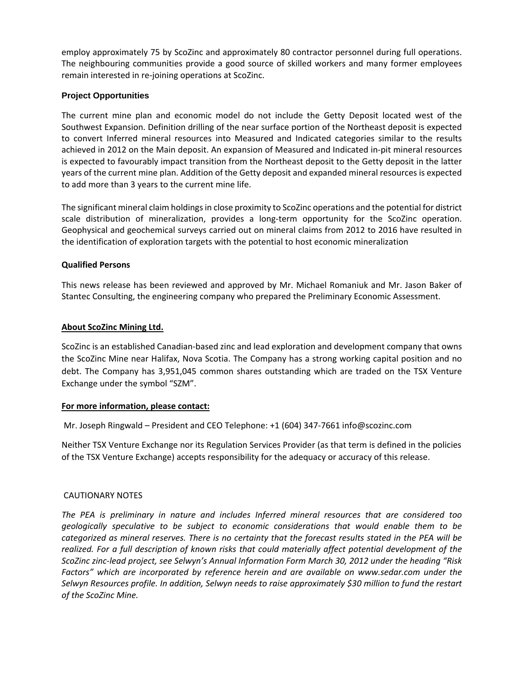employ approximately 75 by ScoZinc and approximately 80 contractor personnel during full operations. The neighbouring communities provide a good source of skilled workers and many former employees remain interested in re‐joining operations at ScoZinc.

### **Project Opportunities**

The current mine plan and economic model do not include the Getty Deposit located west of the Southwest Expansion. Definition drilling of the near surface portion of the Northeast deposit is expected to convert Inferred mineral resources into Measured and Indicated categories similar to the results achieved in 2012 on the Main deposit. An expansion of Measured and Indicated in‐pit mineral resources is expected to favourably impact transition from the Northeast deposit to the Getty deposit in the latter years of the current mine plan. Addition of the Getty deposit and expanded mineral resources is expected to add more than 3 years to the current mine life.

The significant mineral claim holdings in close proximity to ScoZinc operations and the potential for district scale distribution of mineralization, provides a long-term opportunity for the ScoZinc operation. Geophysical and geochemical surveys carried out on mineral claims from 2012 to 2016 have resulted in the identification of exploration targets with the potential to host economic mineralization

#### **Qualified Persons**

This news release has been reviewed and approved by Mr. Michael Romaniuk and Mr. Jason Baker of Stantec Consulting, the engineering company who prepared the Preliminary Economic Assessment.

#### **About ScoZinc Mining Ltd.**

ScoZinc is an established Canadian‐based zinc and lead exploration and development company that owns the ScoZinc Mine near Halifax, Nova Scotia. The Company has a strong working capital position and no debt. The Company has 3,951,045 common shares outstanding which are traded on the TSX Venture Exchange under the symbol "SZM".

#### **For more information, please contact:**

Mr. Joseph Ringwald – President and CEO Telephone: +1 (604) 347‐7661 info@scozinc.com

Neither TSX Venture Exchange nor its Regulation Services Provider (as that term is defined in the policies of the TSX Venture Exchange) accepts responsibility for the adequacy or accuracy of this release.

# CAUTIONARY NOTES

*The PEA is preliminary in nature and includes Inferred mineral resources that are considered too geologically speculative to be subject to economic considerations that would enable them to be* categorized as mineral reserves. There is no certainty that the forecast results stated in the PEA will be *realized. For a full description of known risks that could materially affect potential development of the ScoZinc zinc‐lead project, see Selwyn's Annual Information Form March 30, 2012 under the heading "Risk Factors" which are incorporated by reference herein and are available on www.sedar.com under the Selwyn Resources profile. In addition, Selwyn needs to raise approximately \$30 million to fund the restart of the ScoZinc Mine.*